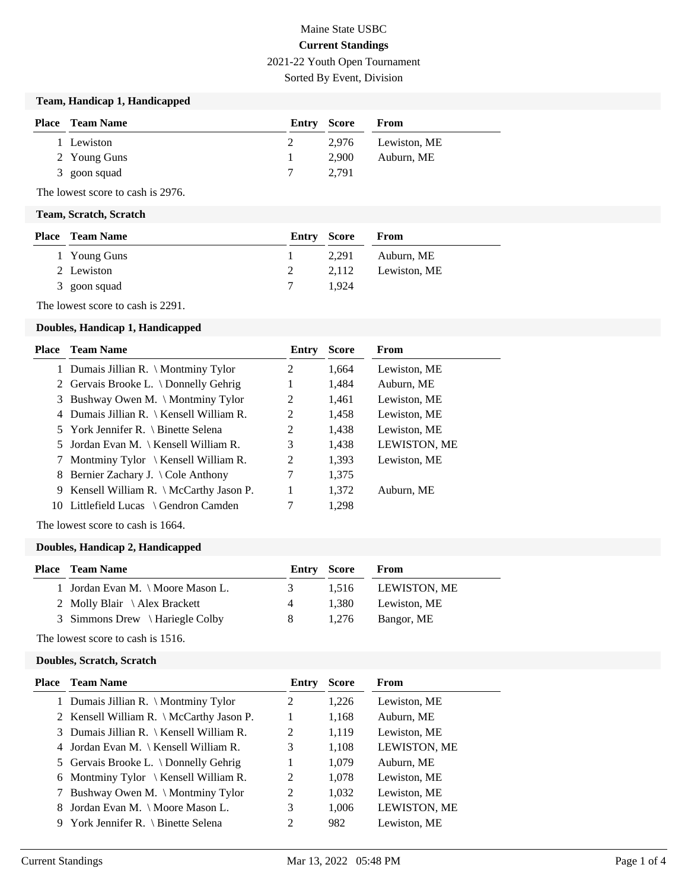# Maine State USBC **Current Standings**

2021-22 Youth Open Tournament

Sorted By Event, Division

## **Team, Handicap 1, Handicapped**

| <b>Place</b> Team Name | Entry Score |       | <b>From</b>        |
|------------------------|-------------|-------|--------------------|
| 1 Lewiston             | 2           |       | 2,976 Lewiston, ME |
| 2 Young Guns           |             | 2.900 | Auburn, ME         |
| 3 goon squad           |             | 2.791 |                    |

The lowest score to cash is 2976.

#### **Team, Scratch, Scratch**

| <b>Place</b> Team Name |   | <b>Entry Score</b> | From               |
|------------------------|---|--------------------|--------------------|
| 1 Young Guns           |   | 2.291              | Auburn, ME         |
| 2 Lewiston             | 2 |                    | 2,112 Lewiston, ME |
| 3 goon squad           |   | 1.924              |                    |

The lowest score to cash is 2291.

## **Doubles, Handicap 1, Handicapped**

| Place | <b>Team Name</b>                              | Entry | <b>Score</b> | From         |
|-------|-----------------------------------------------|-------|--------------|--------------|
|       | 1 Dumais Jillian R. \ Montminy Tylor          | 2     | 1,664        | Lewiston, ME |
|       | 2 Gervais Brooke L. \ Donnelly Gehrig         | 1     | 1,484        | Auburn, ME   |
|       | 3 Bushway Owen M. \ Montminy Tylor            | 2     | 1,461        | Lewiston, ME |
|       | 4 Dumais Jillian R. \ Kensell William R.      | 2     | 1,458        | Lewiston, ME |
|       | 5 York Jennifer R. \ Binette Selena           | 2     | 1,438        | Lewiston, ME |
|       | 5 Jordan Evan M. \ Kensell William R.         | 3     | 1,438        | LEWISTON, ME |
|       | Montminy Tylor $\setminus$ Kensell William R. | 2     | 1,393        | Lewiston, ME |
| 8     | Bernier Zachary J. \Cole Anthony              | 7     | 1,375        |              |
|       | 9 Kensell William R. \ McCarthy Jason P.      | 1     | 1,372        | Auburn, ME   |
|       | 10 Littlefield Lucas \ Gendron Camden         | 7     | 1,298        |              |
|       |                                               |       |              |              |

The lowest score to cash is 1664.

#### **Doubles, Handicap 2, Handicapped**

| <b>Place – Team Name</b>          |                | <b>Entry Score</b> | From         |
|-----------------------------------|----------------|--------------------|--------------|
| 1 Jordan Evan M. \ Moore Mason L. | $\mathfrak{Z}$ | 1.516              | LEWISTON, ME |
| 2 Molly Blair \ Alex Brackett     | 4              | 1.380              | Lewiston, ME |
| 3 Simmons Drew \ Hariegle Colby   | 8              | 1.276              | Bangor, ME   |
|                                   |                |                    |              |

The lowest score to cash is 1516.

#### **Doubles, Scratch, Scratch**

| Place | <b>Team Name</b>                             | Entry | <b>Score</b> | From         |
|-------|----------------------------------------------|-------|--------------|--------------|
|       | 1 Dumais Jillian R. \ Montminy Tylor         | 2     | 1,226        | Lewiston, ME |
|       | 2 Kensell William R. \ McCarthy Jason P.     |       | 1,168        | Auburn, ME   |
|       | 3 Dumais Jillian R.   Kensell William R.     | 2     | 1,119        | Lewiston, ME |
|       | 4 Jordan Evan M. \ Kensell William R.        | 3     | 1,108        | LEWISTON, ME |
|       | 5 Gervais Brooke L. $\Delta$ Donnelly Gehrig |       | 1,079        | Auburn, ME   |
|       | 6 Montminy Tylor \ Kensell William R.        | 2     | 1,078        | Lewiston, ME |
|       | 7 Bushway Owen M. \ Montminy Tylor           | 2     | 1,032        | Lewiston, ME |
|       | 8 Jordan Evan M. \ Moore Mason L.            | 3     | 1,006        | LEWISTON, ME |
|       | 9 York Jennifer R. \ Binette Selena          | 2     | 982          | Lewiston, ME |
|       |                                              |       |              |              |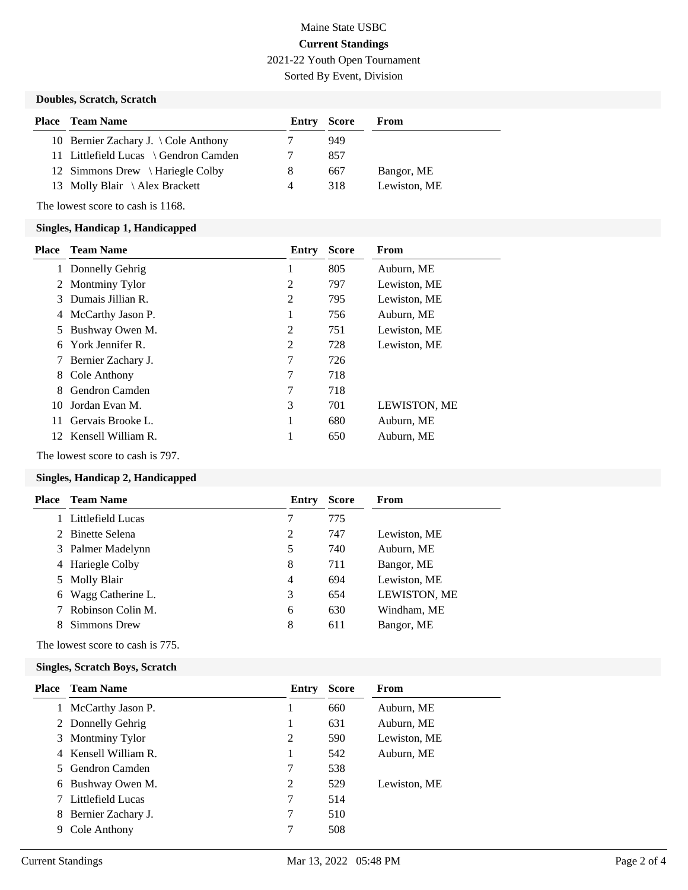## Maine State USBC **Current Standings** 2021-22 Youth Open Tournament

Sorted By Event, Division

## **Doubles, Scratch, Scratch**

| <b>Place</b> Team Name                         | <b>Entry Score</b> |     | From         |
|------------------------------------------------|--------------------|-----|--------------|
| 10 Bernier Zachary J. $\setminus$ Cole Anthony |                    | 949 |              |
| 11 Littlefield Lucas \ Gendron Camden          |                    | 857 |              |
| 12 Simmons Drew \ Hariegle Colby               | 8                  | 667 | Bangor, ME   |
| 13 Molly Blair $\lambda$ Alex Brackett         | 4                  | 318 | Lewiston, ME |

The lowest score to cash is 1168.

#### **Singles, Handicap 1, Handicapped**

| <b>Place</b> | <b>Team Name</b>      | Entry | <b>Score</b> | <b>From</b>  |
|--------------|-----------------------|-------|--------------|--------------|
|              | Donnelly Gehrig       | 1     | 805          | Auburn, ME   |
|              | 2 Montminy Tylor      | 2     | 797          | Lewiston, ME |
| 3            | Dumais Jillian R.     | 2     | 795          | Lewiston, ME |
| 4            | McCarthy Jason P.     | 1     | 756          | Auburn, ME   |
| 5            | Bushway Owen M.       | 2     | 751          | Lewiston, ME |
| 6            | York Jennifer R.      | 2     | 728          | Lewiston, ME |
|              | Bernier Zachary J.    | 7     | 726          |              |
| 8            | Cole Anthony          | 7     | 718          |              |
| 8            | Gendron Camden        | 7     | 718          |              |
| 10.          | Jordan Evan M.        | 3     | 701          | LEWISTON, ME |
| 11           | Gervais Brooke L.     | 1     | 680          | Auburn, ME   |
|              | 12 Kensell William R. | 1     | 650          | Auburn, ME   |

The lowest score to cash is 797.

### **Singles, Handicap 2, Handicapped**

|   | <b>Place</b> Team Name | Entry | <b>Score</b> | From         |
|---|------------------------|-------|--------------|--------------|
|   | 1 Littlefield Lucas    | 7     | 775          |              |
|   | 2 Binette Selena       | 2     | 747          | Lewiston, ME |
|   | 3 Palmer Madelynn      | 5     | 740          | Auburn, ME   |
|   | 4 Hariegle Colby       | 8     | 711          | Bangor, ME   |
|   | 5 Molly Blair          | 4     | 694          | Lewiston, ME |
| 6 | Wagg Catherine L.      | 3     | 654          | LEWISTON, ME |
|   | Robinson Colin M.      | 6     | 630          | Windham, ME  |
|   | Simmons Drew           | 8     | 611          | Bangor, ME   |

The lowest score to cash is 775.

#### **Singles, Scratch Boys, Scratch**

|    | <b>Place</b> Team Name | Entry | <b>Score</b> | From         |
|----|------------------------|-------|--------------|--------------|
|    | McCarthy Jason P.      | L     | 660          | Auburn, ME   |
|    | 2 Donnelly Gehrig      | 1     | 631          | Auburn, ME   |
|    | 3 Montminy Tylor       | 2     | 590          | Lewiston, ME |
|    | 4 Kensell William R.   |       | 542          | Auburn, ME   |
| 5. | Gendron Camden         | 7     | 538          |              |
| 6  | Bushway Owen M.        | 2     | 529          | Lewiston, ME |
|    | Littlefield Lucas      | 7     | 514          |              |
| 8  | Bernier Zachary J.     | 7     | 510          |              |
| 9  | Cole Anthony           | 7     | 508          |              |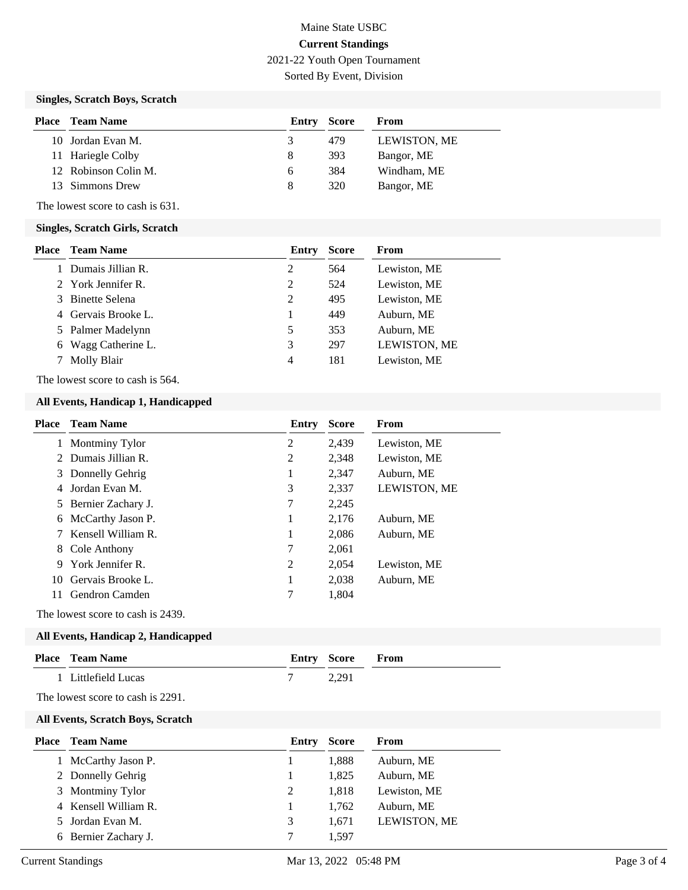# Maine State USBC **Current Standings**

2021-22 Youth Open Tournament

Sorted By Event, Division

### **Singles, Scratch Boys, Scratch**

| Place | Team Name            | <b>Entry Score</b> |     | From                |
|-------|----------------------|--------------------|-----|---------------------|
|       | 10 Jordan Evan M.    | 3                  | 479 | <b>LEWISTON, ME</b> |
|       | 11 Hariegle Colby    | 8                  | 393 | Bangor, ME          |
|       | 12 Robinson Colin M. | <sub>6</sub>       | 384 | Windham, ME         |
| 13.   | Simmons Drew         | 8                  | 320 | Bangor, ME          |

The lowest score to cash is 631.

#### **Singles, Scratch Girls, Scratch**

| Place | <b>Team Name</b>    | Entry | <b>Score</b> | From         |
|-------|---------------------|-------|--------------|--------------|
|       | 1 Dumais Jillian R. | 2     | 564          | Lewiston, ME |
|       | 2 York Jennifer R.  | 2     | 524          | Lewiston, ME |
|       | 3 Binette Selena    | 2     | 495          | Lewiston, ME |
|       | 4 Gervais Brooke L. |       | 449          | Auburn, ME   |
|       | 5 Palmer Madelynn   | 5     | 353          | Auburn, ME   |
| 6     | Wagg Catherine L.   | 3     | 297          | LEWISTON, ME |
|       | Molly Blair         | 4     | 181          | Lewiston, ME |

The lowest score to cash is 564.

#### **All Events, Handicap 1, Handicapped**

| Place | <b>Team Name</b>     | Entry          | <b>Score</b> | <b>From</b>         |
|-------|----------------------|----------------|--------------|---------------------|
|       | Montminy Tylor       | 2              | 2,439        | Lewiston, ME        |
|       | 2 Dumais Jillian R.  | 2              | 2,348        | Lewiston, ME        |
|       | 3 Donnelly Gehrig    | 1              | 2,347        | Auburn, ME          |
|       | Jordan Evan M.       | 3              | 2,337        | <b>LEWISTON, ME</b> |
|       | 5 Bernier Zachary J. | 7              | 2,245        |                     |
| 6     | McCarthy Jason P.    | 1              | 2,176        | Auburn, ME          |
|       | Kensell William R.   | 1              | 2,086        | Auburn, ME          |
| 8     | Cole Anthony         | 7              | 2,061        |                     |
| 9     | York Jennifer R.     | $\overline{2}$ | 2,054        | Lewiston, ME        |
|       | 10 Gervais Brooke L. |                | 2,038        | Auburn, ME          |
|       | Gendron Camden       |                | 1.804        |                     |

The lowest score to cash is 2439.

## **All Events, Handicap 2, Handicapped**

| Place                                    | Team Name                         | Entry | <b>Score</b> | From       |  |  |  |  |
|------------------------------------------|-----------------------------------|-------|--------------|------------|--|--|--|--|
|                                          | Littlefield Lucas                 |       | 2,291        |            |  |  |  |  |
|                                          | The lowest score to cash is 2291. |       |              |            |  |  |  |  |
| <b>All Events, Scratch Boys, Scratch</b> |                                   |       |              |            |  |  |  |  |
| Place                                    | Team Name                         | Entry | Score        | From       |  |  |  |  |
|                                          | McCarthy Jason P.                 |       | 1,888        | Auburn, ME |  |  |  |  |
|                                          | 2 Donnelly Gehrig                 |       | 1.825        | Auburn, ME |  |  |  |  |